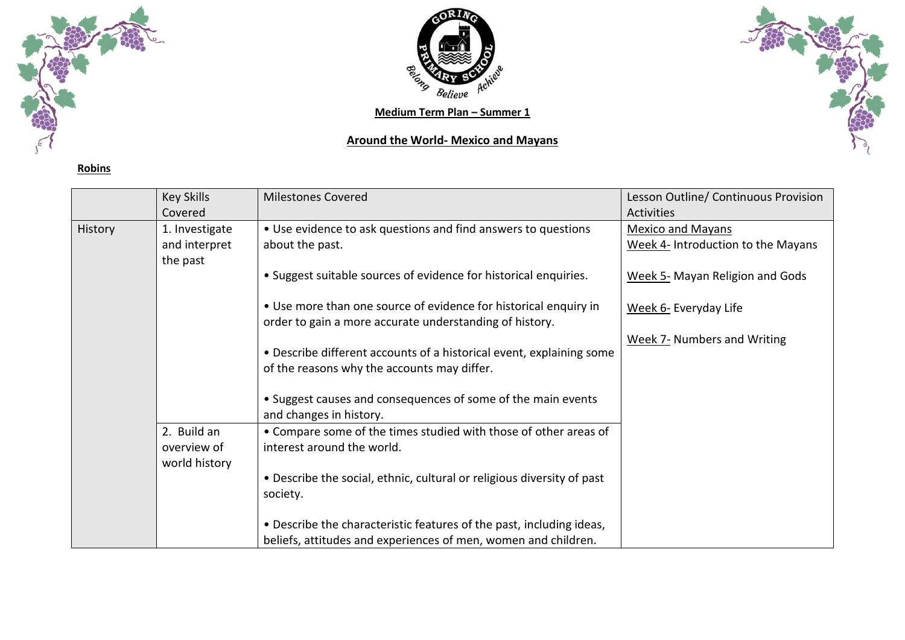

**Robins**



## **Around the World- Mexico and Mayans**



|         | <b>Key Skills</b> | <b>Milestones Covered</b>                                              | Lesson Outline/ Continuous Provision |
|---------|-------------------|------------------------------------------------------------------------|--------------------------------------|
|         | Covered           |                                                                        | <b>Activities</b>                    |
| History | 1. Investigate    | • Use evidence to ask questions and find answers to questions          | <b>Mexico and Mayans</b>             |
|         | and interpret     | about the past.                                                        | Week 4- Introduction to the Mayans   |
|         | the past          |                                                                        |                                      |
|         |                   | • Suggest suitable sources of evidence for historical enquiries.       | Week 5- Mayan Religion and Gods      |
|         |                   | • Use more than one source of evidence for historical enquiry in       | Week 6- Everyday Life                |
|         |                   | order to gain a more accurate understanding of history.                |                                      |
|         |                   |                                                                        | <b>Week 7- Numbers and Writing</b>   |
|         |                   | • Describe different accounts of a historical event, explaining some   |                                      |
|         |                   | of the reasons why the accounts may differ.                            |                                      |
|         |                   |                                                                        |                                      |
|         |                   | • Suggest causes and consequences of some of the main events           |                                      |
|         |                   | and changes in history.                                                |                                      |
|         | 2. Build an       | • Compare some of the times studied with those of other areas of       |                                      |
|         | overview of       | interest around the world.                                             |                                      |
|         | world history     |                                                                        |                                      |
|         |                   | • Describe the social, ethnic, cultural or religious diversity of past |                                      |
|         |                   | society.                                                               |                                      |
|         |                   | . Describe the characteristic features of the past, including ideas,   |                                      |
|         |                   | beliefs, attitudes and experiences of men, women and children.         |                                      |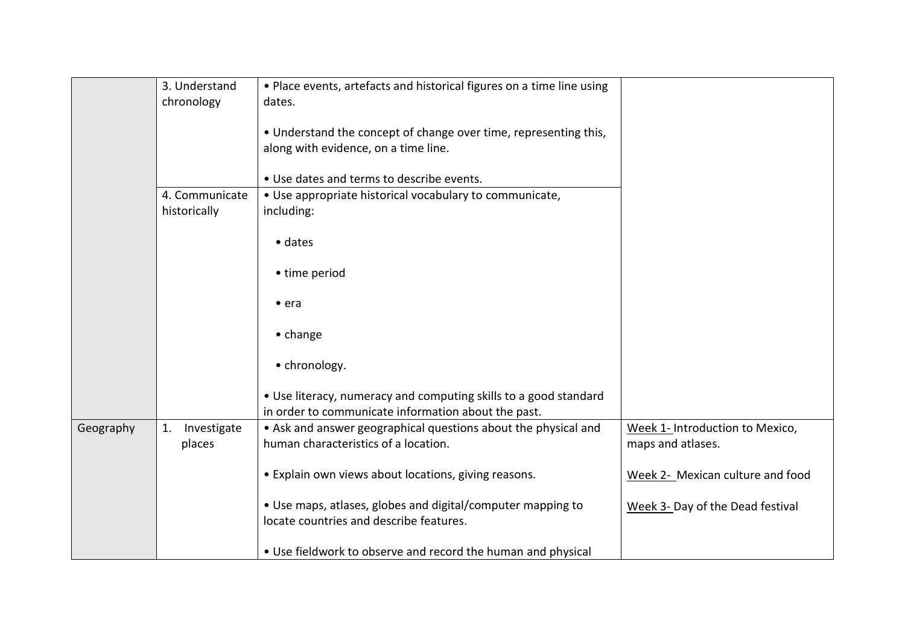|           | 3. Understand     | . Place events, artefacts and historical figures on a time line using |                                  |
|-----------|-------------------|-----------------------------------------------------------------------|----------------------------------|
|           | chronology        | dates.                                                                |                                  |
|           |                   | • Understand the concept of change over time, representing this,      |                                  |
|           |                   | along with evidence, on a time line.                                  |                                  |
|           |                   |                                                                       |                                  |
|           |                   | . Use dates and terms to describe events.                             |                                  |
|           | 4. Communicate    | • Use appropriate historical vocabulary to communicate,               |                                  |
|           | historically      | including:                                                            |                                  |
|           |                   |                                                                       |                                  |
|           |                   | $\bullet$ dates                                                       |                                  |
|           |                   | • time period                                                         |                                  |
|           |                   |                                                                       |                                  |
|           |                   | $\bullet$ era                                                         |                                  |
|           |                   |                                                                       |                                  |
|           |                   | $\bullet$ change                                                      |                                  |
|           |                   | • chronology.                                                         |                                  |
|           |                   |                                                                       |                                  |
|           |                   | • Use literacy, numeracy and computing skills to a good standard      |                                  |
|           |                   | in order to communicate information about the past.                   |                                  |
| Geography | Investigate<br>1. | • Ask and answer geographical questions about the physical and        | Week 1- Introduction to Mexico,  |
|           | places            | human characteristics of a location.                                  | maps and atlases.                |
|           |                   |                                                                       |                                  |
|           |                   | • Explain own views about locations, giving reasons.                  | Week 2- Mexican culture and food |
|           |                   |                                                                       |                                  |
|           |                   | • Use maps, atlases, globes and digital/computer mapping to           | Week 3- Day of the Dead festival |
|           |                   | locate countries and describe features.                               |                                  |
|           |                   | • Use fieldwork to observe and record the human and physical          |                                  |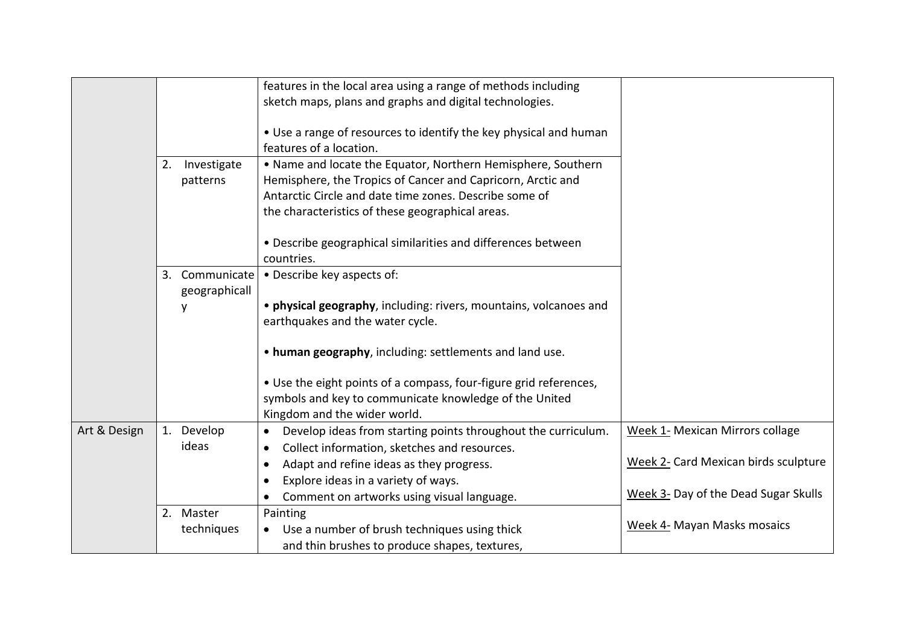|              |                                    | features in the local area using a range of methods including<br>sketch maps, plans and graphs and digital technologies.                                                                                                                  |                                        |
|--------------|------------------------------------|-------------------------------------------------------------------------------------------------------------------------------------------------------------------------------------------------------------------------------------------|----------------------------------------|
|              |                                    | • Use a range of resources to identify the key physical and human<br>features of a location.                                                                                                                                              |                                        |
|              | Investigate<br>2.<br>patterns      | . Name and locate the Equator, Northern Hemisphere, Southern<br>Hemisphere, the Tropics of Cancer and Capricorn, Arctic and<br>Antarctic Circle and date time zones. Describe some of<br>the characteristics of these geographical areas. |                                        |
|              |                                    | • Describe geographical similarities and differences between<br>countries.                                                                                                                                                                |                                        |
|              | Communicate<br>3.<br>geographicall | • Describe key aspects of:                                                                                                                                                                                                                |                                        |
|              | y                                  | • physical geography, including: rivers, mountains, volcanoes and<br>earthquakes and the water cycle.                                                                                                                                     |                                        |
|              |                                    | . human geography, including: settlements and land use.                                                                                                                                                                                   |                                        |
|              |                                    | • Use the eight points of a compass, four-figure grid references,<br>symbols and key to communicate knowledge of the United<br>Kingdom and the wider world.                                                                               |                                        |
| Art & Design | 1. Develop                         | Develop ideas from starting points throughout the curriculum.<br>$\bullet$                                                                                                                                                                | <b>Week 1- Mexican Mirrors collage</b> |
|              | ideas                              | Collect information, sketches and resources.<br>Adapt and refine ideas as they progress.                                                                                                                                                  | Week 2- Card Mexican birds sculpture   |
|              |                                    | Explore ideas in a variety of ways.<br>Comment on artworks using visual language.                                                                                                                                                         | Week 3- Day of the Dead Sugar Skulls   |
|              | 2. Master<br>techniques            | Painting<br>Use a number of brush techniques using thick<br>and thin brushes to produce shapes, textures,                                                                                                                                 | Week 4- Mayan Masks mosaics            |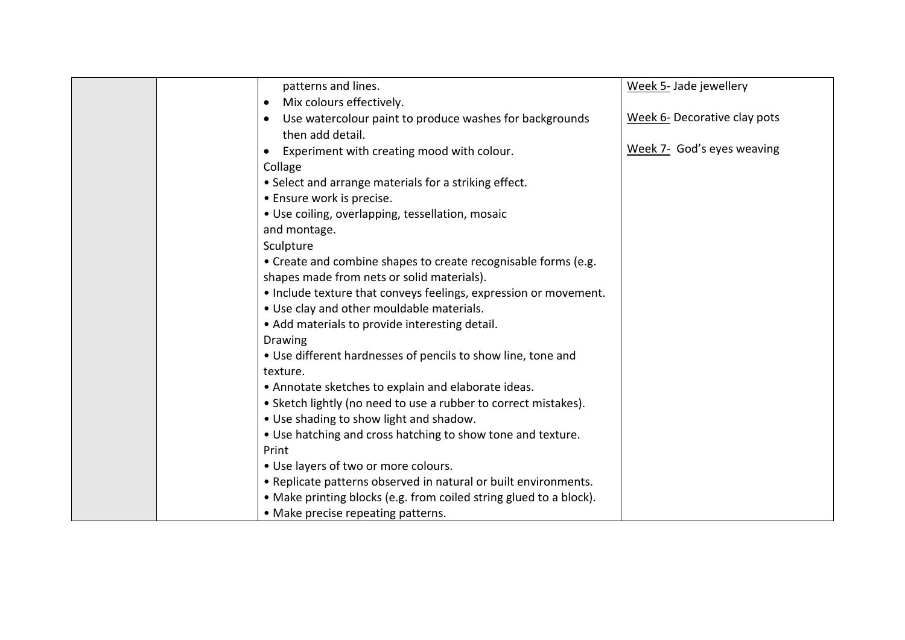|  | patterns and lines.                                                                      | Week 5- Jade jewellery       |
|--|------------------------------------------------------------------------------------------|------------------------------|
|  | Mix colours effectively.<br>$\bullet$                                                    |                              |
|  | Use watercolour paint to produce washes for backgrounds<br>$\bullet$<br>then add detail. | Week 6- Decorative clay pots |
|  | Experiment with creating mood with colour.                                               | Week 7- God's eyes weaving   |
|  | Collage                                                                                  |                              |
|  | • Select and arrange materials for a striking effect.                                    |                              |
|  | • Ensure work is precise.                                                                |                              |
|  | · Use coiling, overlapping, tessellation, mosaic<br>and montage.                         |                              |
|  | Sculpture                                                                                |                              |
|  | • Create and combine shapes to create recognisable forms (e.g.                           |                              |
|  | shapes made from nets or solid materials).                                               |                              |
|  | • Include texture that conveys feelings, expression or movement.                         |                              |
|  | . Use clay and other mouldable materials.                                                |                              |
|  | • Add materials to provide interesting detail.                                           |                              |
|  | Drawing                                                                                  |                              |
|  | • Use different hardnesses of pencils to show line, tone and                             |                              |
|  | texture.                                                                                 |                              |
|  | • Annotate sketches to explain and elaborate ideas.                                      |                              |
|  | • Sketch lightly (no need to use a rubber to correct mistakes).                          |                              |
|  | • Use shading to show light and shadow.                                                  |                              |
|  | • Use hatching and cross hatching to show tone and texture.                              |                              |
|  | Print                                                                                    |                              |
|  | • Use layers of two or more colours.                                                     |                              |
|  | • Replicate patterns observed in natural or built environments.                          |                              |
|  | • Make printing blocks (e.g. from coiled string glued to a block).                       |                              |
|  | • Make precise repeating patterns.                                                       |                              |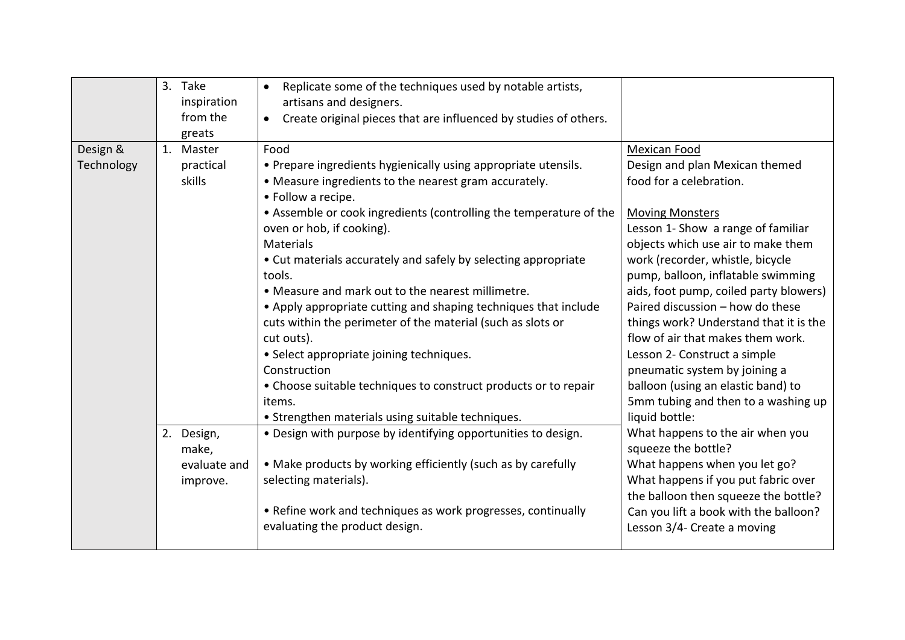|                        | 3. Take<br>inspiration<br>from the<br>greats    | Replicate some of the techniques used by notable artists,<br>artisans and designers.<br>Create original pieces that are influenced by studies of others.                                                                                                                                                                                                                                                                                                                        |                                                                                                                                                                                                                                                                                                                                                                                                            |
|------------------------|-------------------------------------------------|---------------------------------------------------------------------------------------------------------------------------------------------------------------------------------------------------------------------------------------------------------------------------------------------------------------------------------------------------------------------------------------------------------------------------------------------------------------------------------|------------------------------------------------------------------------------------------------------------------------------------------------------------------------------------------------------------------------------------------------------------------------------------------------------------------------------------------------------------------------------------------------------------|
| Design &<br>Technology | 1. Master<br>practical<br>skills                | Food<br>• Prepare ingredients hygienically using appropriate utensils.<br>• Measure ingredients to the nearest gram accurately.                                                                                                                                                                                                                                                                                                                                                 | <b>Mexican Food</b><br>Design and plan Mexican themed<br>food for a celebration.                                                                                                                                                                                                                                                                                                                           |
|                        |                                                 | • Follow a recipe.<br>• Assemble or cook ingredients (controlling the temperature of the<br>oven or hob, if cooking).<br>Materials<br>• Cut materials accurately and safely by selecting appropriate<br>tools.<br>. Measure and mark out to the nearest millimetre.<br>• Apply appropriate cutting and shaping techniques that include<br>cuts within the perimeter of the material (such as slots or<br>cut outs).<br>• Select appropriate joining techniques.<br>Construction | <b>Moving Monsters</b><br>Lesson 1- Show a range of familiar<br>objects which use air to make them<br>work (recorder, whistle, bicycle<br>pump, balloon, inflatable swimming<br>aids, foot pump, coiled party blowers)<br>Paired discussion - how do these<br>things work? Understand that it is the<br>flow of air that makes them work.<br>Lesson 2- Construct a simple<br>pneumatic system by joining a |
|                        |                                                 | • Choose suitable techniques to construct products or to repair<br>items.<br>• Strengthen materials using suitable techniques.                                                                                                                                                                                                                                                                                                                                                  | balloon (using an elastic band) to<br>5mm tubing and then to a washing up<br>liquid bottle:                                                                                                                                                                                                                                                                                                                |
|                        | 2. Design,<br>make,<br>evaluate and<br>improve. | . Design with purpose by identifying opportunities to design.<br>• Make products by working efficiently (such as by carefully<br>selecting materials).<br>• Refine work and techniques as work progresses, continually<br>evaluating the product design.                                                                                                                                                                                                                        | What happens to the air when you<br>squeeze the bottle?<br>What happens when you let go?<br>What happens if you put fabric over<br>the balloon then squeeze the bottle?<br>Can you lift a book with the balloon?<br>Lesson 3/4- Create a moving                                                                                                                                                            |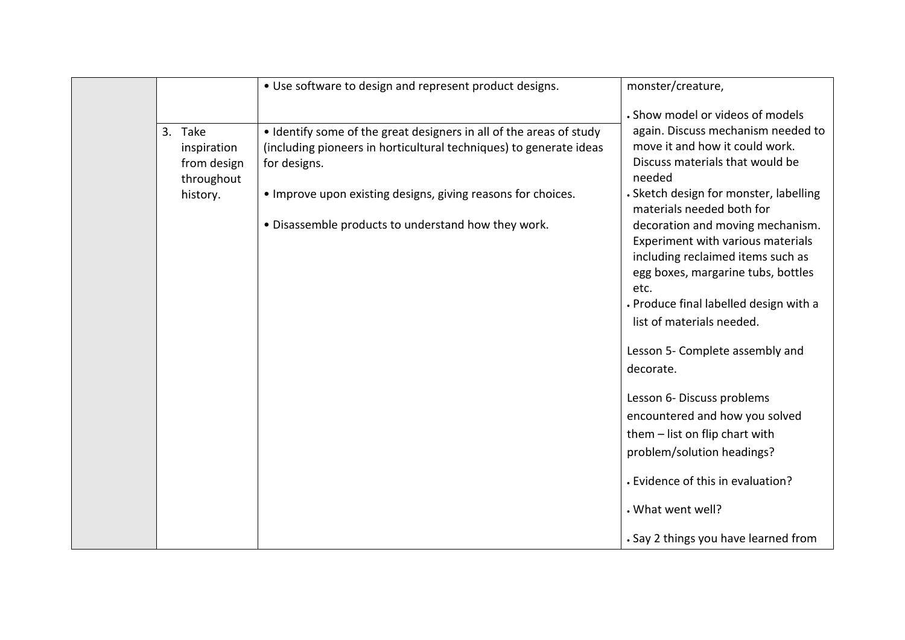|                                                     | • Use software to design and represent product designs.                                                                                                   | monster/creature,                                                                                                                                                                                                               |
|-----------------------------------------------------|-----------------------------------------------------------------------------------------------------------------------------------------------------------|---------------------------------------------------------------------------------------------------------------------------------------------------------------------------------------------------------------------------------|
|                                                     |                                                                                                                                                           | . Show model or videos of models                                                                                                                                                                                                |
| 3. Take<br>inspiration<br>from design<br>throughout | • Identify some of the great designers in all of the areas of study<br>(including pioneers in horticultural techniques) to generate ideas<br>for designs. | again. Discuss mechanism needed to<br>move it and how it could work.<br>Discuss materials that would be<br>needed                                                                                                               |
| history.                                            | . Improve upon existing designs, giving reasons for choices.                                                                                              | · Sketch design for monster, labelling<br>materials needed both for                                                                                                                                                             |
|                                                     | . Disassemble products to understand how they work.                                                                                                       | decoration and moving mechanism.<br>Experiment with various materials<br>including reclaimed items such as<br>egg boxes, margarine tubs, bottles<br>etc.<br>. Produce final labelled design with a<br>list of materials needed. |
|                                                     |                                                                                                                                                           | Lesson 5- Complete assembly and                                                                                                                                                                                                 |
|                                                     |                                                                                                                                                           | decorate.                                                                                                                                                                                                                       |
|                                                     |                                                                                                                                                           | Lesson 6- Discuss problems                                                                                                                                                                                                      |
|                                                     |                                                                                                                                                           | encountered and how you solved                                                                                                                                                                                                  |
|                                                     |                                                                                                                                                           | them - list on flip chart with                                                                                                                                                                                                  |
|                                                     |                                                                                                                                                           | problem/solution headings?                                                                                                                                                                                                      |
|                                                     |                                                                                                                                                           | • Evidence of this in evaluation?                                                                                                                                                                                               |
|                                                     |                                                                                                                                                           | . What went well?                                                                                                                                                                                                               |
|                                                     |                                                                                                                                                           | . Say 2 things you have learned from                                                                                                                                                                                            |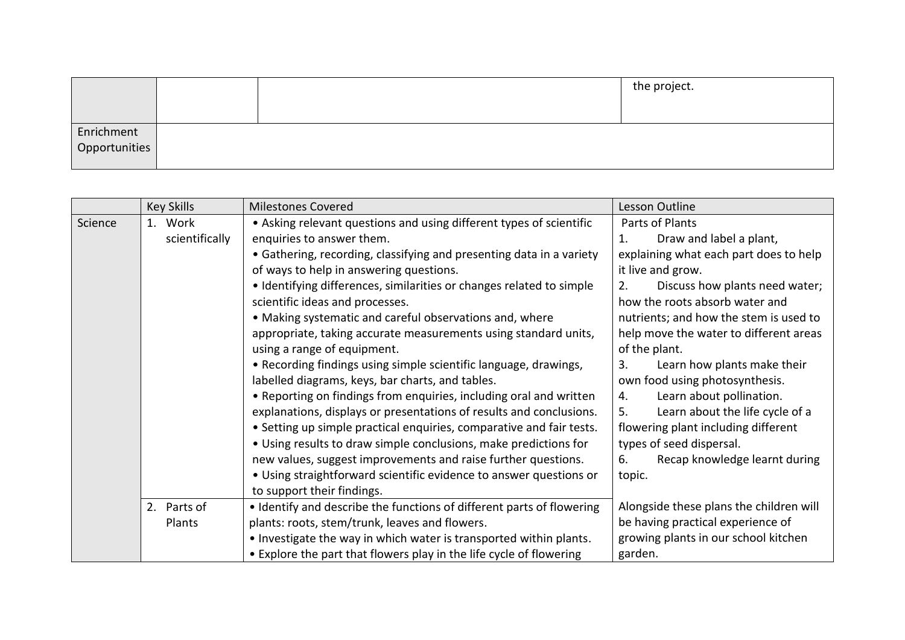|                             |  | the project. |
|-----------------------------|--|--------------|
|                             |  |              |
|                             |  |              |
| Enrichment<br>Opportunities |  |              |
|                             |  |              |

|         | <b>Key Skills</b> | <b>Milestones Covered</b>                                             | Lesson Outline                          |
|---------|-------------------|-----------------------------------------------------------------------|-----------------------------------------|
| Science | 1. Work           | • Asking relevant questions and using different types of scientific   | Parts of Plants                         |
|         | scientifically    | enquiries to answer them.                                             | Draw and label a plant,<br>1.           |
|         |                   | • Gathering, recording, classifying and presenting data in a variety  | explaining what each part does to help  |
|         |                   | of ways to help in answering questions.                               | it live and grow.                       |
|         |                   | • Identifying differences, similarities or changes related to simple  | Discuss how plants need water;<br>2.    |
|         |                   | scientific ideas and processes.                                       | how the roots absorb water and          |
|         |                   | • Making systematic and careful observations and, where               | nutrients; and how the stem is used to  |
|         |                   | appropriate, taking accurate measurements using standard units,       | help move the water to different areas  |
|         |                   | using a range of equipment.                                           | of the plant.                           |
|         |                   | • Recording findings using simple scientific language, drawings,      | Learn how plants make their<br>3.       |
|         |                   | labelled diagrams, keys, bar charts, and tables.                      | own food using photosynthesis.          |
|         |                   | • Reporting on findings from enquiries, including oral and written    | Learn about pollination.<br>4.          |
|         |                   | explanations, displays or presentations of results and conclusions.   | Learn about the life cycle of a<br>5.   |
|         |                   | • Setting up simple practical enquiries, comparative and fair tests.  | flowering plant including different     |
|         |                   | • Using results to draw simple conclusions, make predictions for      | types of seed dispersal.                |
|         |                   | new values, suggest improvements and raise further questions.         | Recap knowledge learnt during<br>6.     |
|         |                   | • Using straightforward scientific evidence to answer questions or    | topic.                                  |
|         |                   | to support their findings.                                            |                                         |
|         | 2. Parts of       | • Identify and describe the functions of different parts of flowering | Alongside these plans the children will |
|         | Plants            | plants: roots, stem/trunk, leaves and flowers.                        | be having practical experience of       |
|         |                   | . Investigate the way in which water is transported within plants.    | growing plants in our school kitchen    |
|         |                   | • Explore the part that flowers play in the life cycle of flowering   | garden.                                 |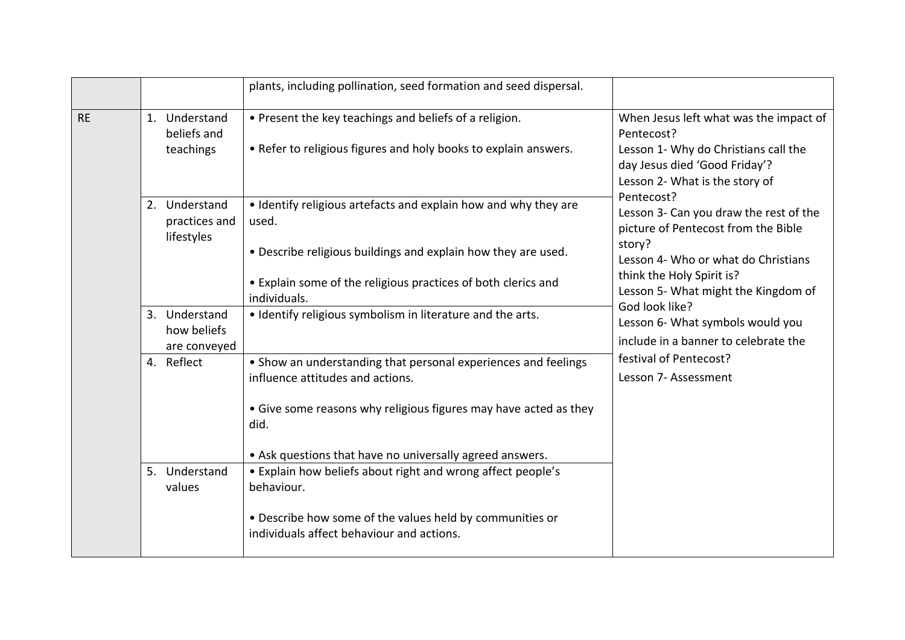|           |                                              | plants, including pollination, seed formation and seed dispersal.                                                                                                                                                                          |                                                                                                                                                                                                                                                                                                                                                                  |
|-----------|----------------------------------------------|--------------------------------------------------------------------------------------------------------------------------------------------------------------------------------------------------------------------------------------------|------------------------------------------------------------------------------------------------------------------------------------------------------------------------------------------------------------------------------------------------------------------------------------------------------------------------------------------------------------------|
| <b>RE</b> | 1. Understand<br>beliefs and<br>teachings    | • Present the key teachings and beliefs of a religion.<br>• Refer to religious figures and holy books to explain answers.                                                                                                                  | When Jesus left what was the impact of<br>Pentecost?<br>Lesson 1- Why do Christians call the<br>day Jesus died 'Good Friday'?<br>Lesson 2- What is the story of                                                                                                                                                                                                  |
|           | 2. Understand<br>practices and<br>lifestyles | • Identify religious artefacts and explain how and why they are<br>used.<br>. Describe religious buildings and explain how they are used.<br>• Explain some of the religious practices of both clerics and<br>individuals.                 | Pentecost?<br>Lesson 3- Can you draw the rest of the<br>picture of Pentecost from the Bible<br>story?<br>Lesson 4- Who or what do Christians<br>think the Holy Spirit is?<br>Lesson 5- What might the Kingdom of<br>God look like?<br>Lesson 6- What symbols would you<br>include in a banner to celebrate the<br>festival of Pentecost?<br>Lesson 7- Assessment |
|           | 3. Understand<br>how beliefs<br>are conveyed | • Identify religious symbolism in literature and the arts.                                                                                                                                                                                 |                                                                                                                                                                                                                                                                                                                                                                  |
|           | 4. Reflect                                   | • Show an understanding that personal experiences and feelings<br>influence attitudes and actions.<br>• Give some reasons why religious figures may have acted as they<br>did.<br>• Ask questions that have no universally agreed answers. |                                                                                                                                                                                                                                                                                                                                                                  |
|           | 5. Understand<br>values                      | • Explain how beliefs about right and wrong affect people's<br>behaviour.<br>• Describe how some of the values held by communities or<br>individuals affect behaviour and actions.                                                         |                                                                                                                                                                                                                                                                                                                                                                  |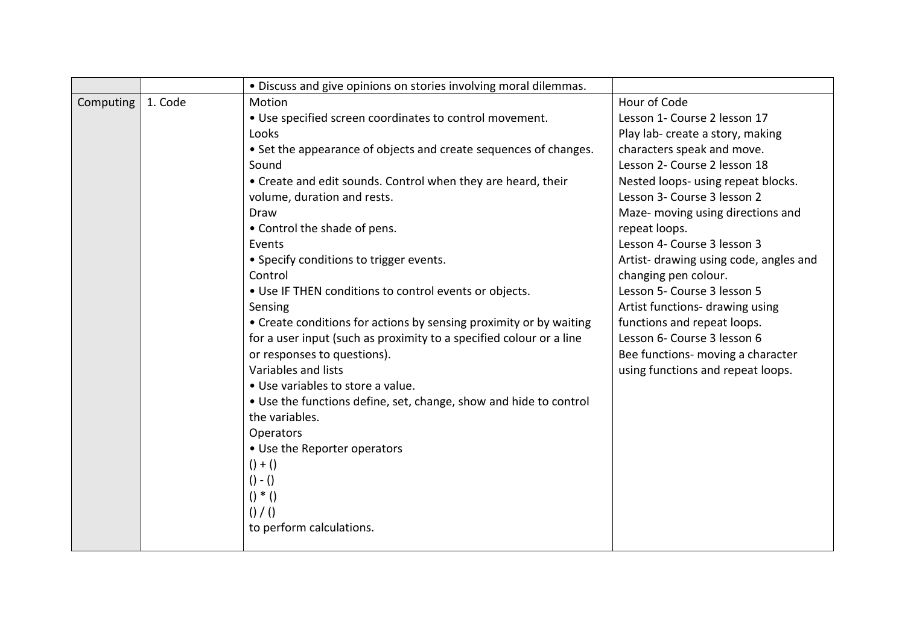|           |         | · Discuss and give opinions on stories involving moral dilemmas.    |                                        |
|-----------|---------|---------------------------------------------------------------------|----------------------------------------|
| Computing | 1. Code | Motion                                                              | Hour of Code                           |
|           |         | . Use specified screen coordinates to control movement.             | Lesson 1- Course 2 lesson 17           |
|           |         | Looks                                                               | Play lab- create a story, making       |
|           |         | • Set the appearance of objects and create sequences of changes.    | characters speak and move.             |
|           |         | Sound                                                               | Lesson 2- Course 2 lesson 18           |
|           |         | • Create and edit sounds. Control when they are heard, their        | Nested loops- using repeat blocks.     |
|           |         | volume, duration and rests.                                         | Lesson 3- Course 3 lesson 2            |
|           |         | Draw                                                                | Maze- moving using directions and      |
|           |         | • Control the shade of pens.                                        | repeat loops.                          |
|           |         | Events                                                              | Lesson 4- Course 3 lesson 3            |
|           |         | • Specify conditions to trigger events.                             | Artist- drawing using code, angles and |
|           |         | Control                                                             | changing pen colour.                   |
|           |         | • Use IF THEN conditions to control events or objects.              | Lesson 5- Course 3 lesson 5            |
|           |         | Sensing                                                             | Artist functions- drawing using        |
|           |         | • Create conditions for actions by sensing proximity or by waiting  | functions and repeat loops.            |
|           |         | for a user input (such as proximity to a specified colour or a line | Lesson 6- Course 3 lesson 6            |
|           |         | or responses to questions).                                         | Bee functions- moving a character      |
|           |         | Variables and lists                                                 | using functions and repeat loops.      |
|           |         | • Use variables to store a value.                                   |                                        |
|           |         | • Use the functions define, set, change, show and hide to control   |                                        |
|           |         | the variables.                                                      |                                        |
|           |         | Operators                                                           |                                        |
|           |         | • Use the Reporter operators                                        |                                        |
|           |         | $() + ()$                                                           |                                        |
|           |         | $() - ()$                                                           |                                        |
|           |         | $() * ()$                                                           |                                        |
|           |         | $()$ $/()$                                                          |                                        |
|           |         | to perform calculations.                                            |                                        |
|           |         |                                                                     |                                        |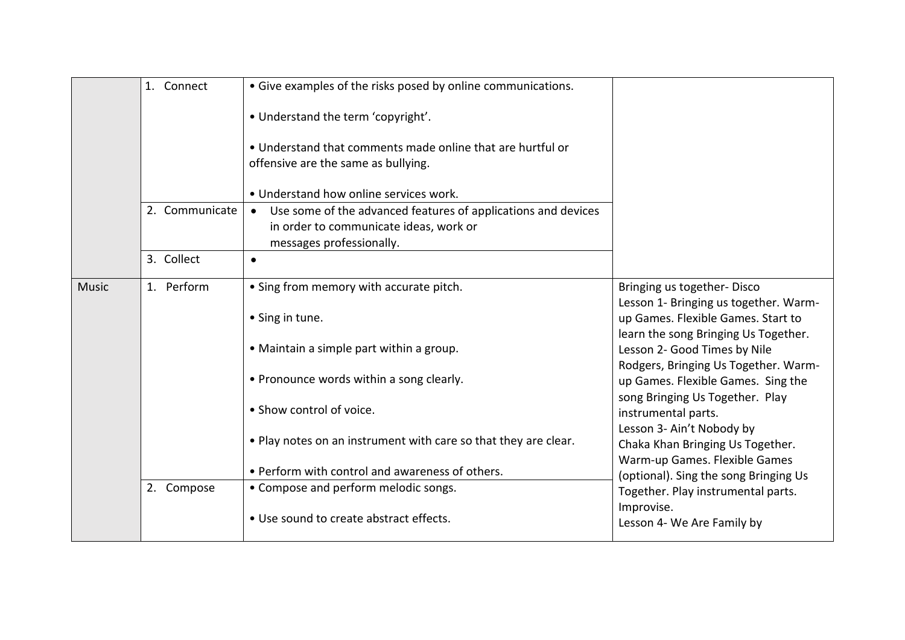|              | 1. Connect     | • Give examples of the risks posed by online communications.                                                                          |                                                                                                |
|--------------|----------------|---------------------------------------------------------------------------------------------------------------------------------------|------------------------------------------------------------------------------------------------|
|              |                | • Understand the term 'copyright'.                                                                                                    |                                                                                                |
|              |                | . Understand that comments made online that are hurtful or<br>offensive are the same as bullying.                                     |                                                                                                |
|              |                | • Understand how online services work.                                                                                                |                                                                                                |
|              | 2. Communicate | • Use some of the advanced features of applications and devices<br>in order to communicate ideas, work or<br>messages professionally. |                                                                                                |
|              | 3. Collect     | $\bullet$                                                                                                                             |                                                                                                |
| <b>Music</b> | 1. Perform     | • Sing from memory with accurate pitch.                                                                                               | Bringing us together-Disco<br>Lesson 1- Bringing us together. Warm-                            |
|              |                | • Sing in tune.                                                                                                                       | up Games. Flexible Games. Start to<br>learn the song Bringing Us Together.                     |
|              |                | • Maintain a simple part within a group.                                                                                              | Lesson 2- Good Times by Nile<br>Rodgers, Bringing Us Together. Warm-                           |
|              |                | • Pronounce words within a song clearly.                                                                                              | up Games. Flexible Games. Sing the<br>song Bringing Us Together. Play                          |
|              |                | • Show control of voice.                                                                                                              | instrumental parts.                                                                            |
|              |                | . Play notes on an instrument with care so that they are clear.                                                                       | Lesson 3- Ain't Nobody by<br>Chaka Khan Bringing Us Together.<br>Warm-up Games. Flexible Games |
|              |                | • Perform with control and awareness of others.                                                                                       | (optional). Sing the song Bringing Us                                                          |
|              | 2. Compose     | • Compose and perform melodic songs.                                                                                                  | Together. Play instrumental parts.                                                             |
|              |                | • Use sound to create abstract effects.                                                                                               | Improvise.<br>Lesson 4- We Are Family by                                                       |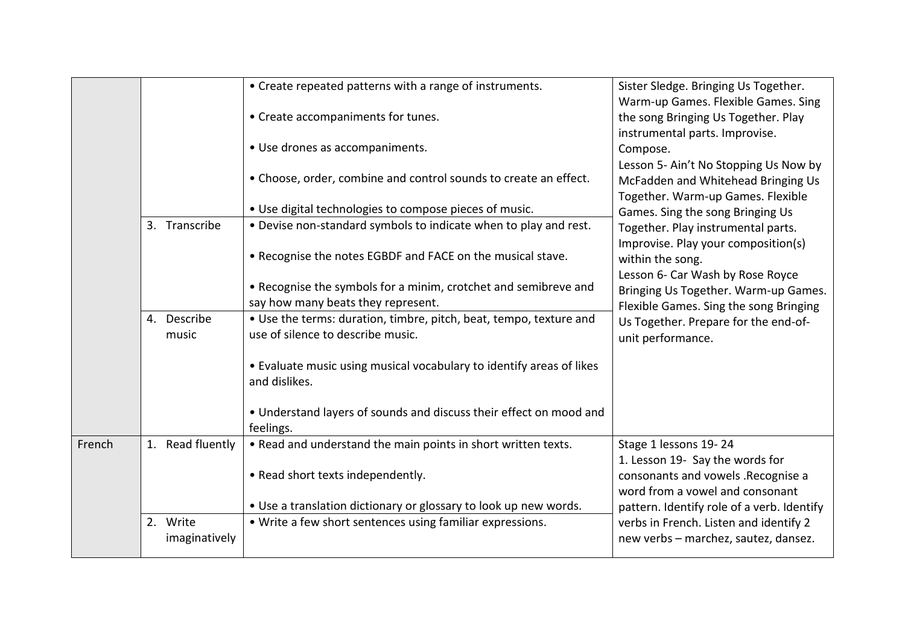|        |                  | • Create repeated patterns with a range of instruments.              | Sister Sledge. Bringing Us Together.       |
|--------|------------------|----------------------------------------------------------------------|--------------------------------------------|
|        |                  |                                                                      | Warm-up Games. Flexible Games. Sing        |
|        |                  | • Create accompaniments for tunes.                                   | the song Bringing Us Together. Play        |
|        |                  |                                                                      | instrumental parts. Improvise.             |
|        |                  | • Use drones as accompaniments.                                      | Compose.                                   |
|        |                  |                                                                      | Lesson 5- Ain't No Stopping Us Now by      |
|        |                  | • Choose, order, combine and control sounds to create an effect.     | McFadden and Whitehead Bringing Us         |
|        |                  |                                                                      | Together. Warm-up Games. Flexible          |
|        |                  | • Use digital technologies to compose pieces of music.               | Games. Sing the song Bringing Us           |
|        | 3. Transcribe    | . Devise non-standard symbols to indicate when to play and rest.     | Together. Play instrumental parts.         |
|        |                  |                                                                      | Improvise. Play your composition(s)        |
|        |                  | . Recognise the notes EGBDF and FACE on the musical stave.           | within the song.                           |
|        |                  |                                                                      | Lesson 6- Car Wash by Rose Royce           |
|        |                  | • Recognise the symbols for a minim, crotchet and semibreve and      | Bringing Us Together. Warm-up Games.       |
|        |                  | say how many beats they represent.                                   | Flexible Games. Sing the song Bringing     |
|        | 4. Describe      | • Use the terms: duration, timbre, pitch, beat, tempo, texture and   | Us Together. Prepare for the end-of-       |
|        | music            | use of silence to describe music.                                    | unit performance.                          |
|        |                  |                                                                      |                                            |
|        |                  | • Evaluate music using musical vocabulary to identify areas of likes |                                            |
|        |                  | and dislikes.                                                        |                                            |
|        |                  |                                                                      |                                            |
|        |                  | • Understand layers of sounds and discuss their effect on mood and   |                                            |
|        |                  | feelings.                                                            |                                            |
| French | 1. Read fluently | . Read and understand the main points in short written texts.        | Stage 1 lessons 19-24                      |
|        |                  |                                                                      | 1. Lesson 19- Say the words for            |
|        |                  | • Read short texts independently.                                    | consonants and vowels .Recognise a         |
|        |                  |                                                                      | word from a vowel and consonant            |
|        |                  | • Use a translation dictionary or glossary to look up new words.     | pattern. Identify role of a verb. Identify |
|        | 2. Write         | • Write a few short sentences using familiar expressions.            | verbs in French. Listen and identify 2     |
|        | imaginatively    |                                                                      | new verbs - marchez, sautez, dansez.       |
|        |                  |                                                                      |                                            |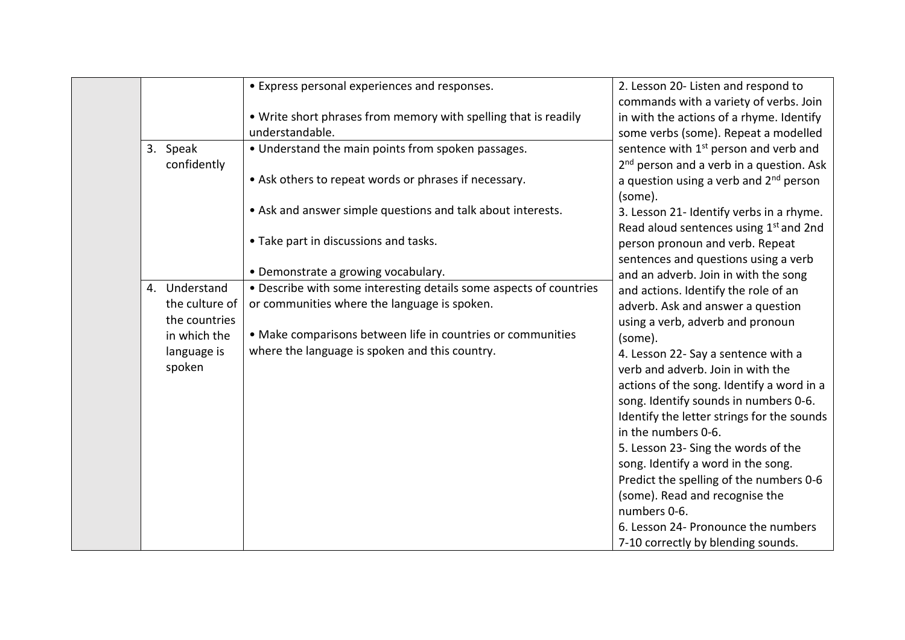|                         | • Express personal experiences and responses.                                      | 2. Lesson 20- Listen and respond to<br>commands with a variety of verbs. Join                             |
|-------------------------|------------------------------------------------------------------------------------|-----------------------------------------------------------------------------------------------------------|
|                         | . Write short phrases from memory with spelling that is readily<br>understandable. | in with the actions of a rhyme. Identify<br>some verbs (some). Repeat a modelled                          |
| 3. Speak<br>confidently | • Understand the main points from spoken passages.                                 | sentence with 1 <sup>st</sup> person and verb and<br>2 <sup>nd</sup> person and a verb in a question. Ask |
|                         | • Ask others to repeat words or phrases if necessary.                              | a question using a verb and $2nd$ person<br>(some).                                                       |
|                         | • Ask and answer simple questions and talk about interests.                        | 3. Lesson 21- Identify verbs in a rhyme.<br>Read aloud sentences using 1st and 2nd                        |
|                         | • Take part in discussions and tasks.                                              | person pronoun and verb. Repeat<br>sentences and questions using a verb                                   |
|                         | • Demonstrate a growing vocabulary.                                                | and an adverb. Join in with the song                                                                      |
| 4. Understand           | • Describe with some interesting details some aspects of countries                 | and actions. Identify the role of an                                                                      |
| the culture of          | or communities where the language is spoken.                                       | adverb. Ask and answer a question                                                                         |
| the countries           |                                                                                    | using a verb, adverb and pronoun                                                                          |
| in which the            | • Make comparisons between life in countries or communities                        | (some).                                                                                                   |
| language is             | where the language is spoken and this country.                                     | 4. Lesson 22- Say a sentence with a                                                                       |
| spoken                  |                                                                                    | verb and adverb. Join in with the                                                                         |
|                         |                                                                                    | actions of the song. Identify a word in a                                                                 |
|                         |                                                                                    | song. Identify sounds in numbers 0-6.                                                                     |
|                         |                                                                                    | Identify the letter strings for the sounds                                                                |
|                         |                                                                                    | in the numbers 0-6.<br>5. Lesson 23- Sing the words of the                                                |
|                         |                                                                                    | song. Identify a word in the song.                                                                        |
|                         |                                                                                    | Predict the spelling of the numbers 0-6                                                                   |
|                         |                                                                                    | (some). Read and recognise the                                                                            |
|                         |                                                                                    | numbers 0-6.                                                                                              |
|                         |                                                                                    | 6. Lesson 24- Pronounce the numbers                                                                       |
|                         |                                                                                    | 7-10 correctly by blending sounds.                                                                        |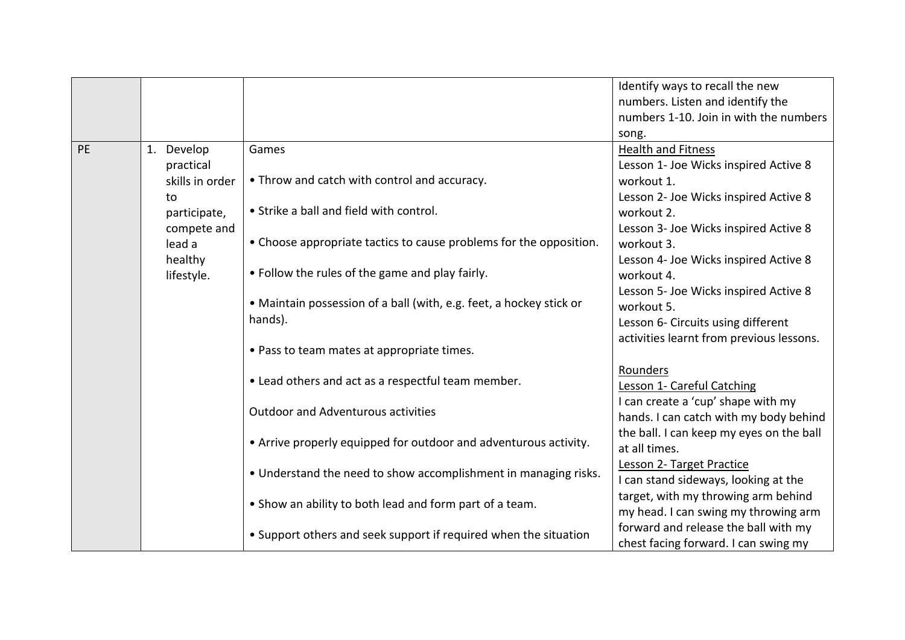|    |                 |                                                                     | Identify ways to recall the new          |
|----|-----------------|---------------------------------------------------------------------|------------------------------------------|
|    |                 |                                                                     | numbers. Listen and identify the         |
|    |                 |                                                                     | numbers 1-10. Join in with the numbers   |
|    |                 |                                                                     | song.                                    |
| PE | 1. Develop      | Games                                                               | <b>Health and Fitness</b>                |
|    | practical       |                                                                     | Lesson 1- Joe Wicks inspired Active 8    |
|    | skills in order | • Throw and catch with control and accuracy.                        | workout 1.                               |
|    | to              |                                                                     | Lesson 2- Joe Wicks inspired Active 8    |
|    | participate,    | • Strike a ball and field with control.                             | workout 2.                               |
|    | compete and     |                                                                     | Lesson 3- Joe Wicks inspired Active 8    |
|    | lead a          | • Choose appropriate tactics to cause problems for the opposition.  | workout 3.                               |
|    | healthy         |                                                                     | Lesson 4- Joe Wicks inspired Active 8    |
|    | lifestyle.      | • Follow the rules of the game and play fairly.                     | workout 4.                               |
|    |                 |                                                                     | Lesson 5- Joe Wicks inspired Active 8    |
|    |                 | • Maintain possession of a ball (with, e.g. feet, a hockey stick or | workout 5.                               |
|    |                 | hands).                                                             | Lesson 6- Circuits using different       |
|    |                 |                                                                     | activities learnt from previous lessons. |
|    |                 | • Pass to team mates at appropriate times.                          |                                          |
|    |                 |                                                                     | Rounders                                 |
|    |                 | • Lead others and act as a respectful team member.                  | Lesson 1- Careful Catching               |
|    |                 |                                                                     | I can create a 'cup' shape with my       |
|    |                 | <b>Outdoor and Adventurous activities</b>                           | hands. I can catch with my body behind   |
|    |                 |                                                                     | the ball. I can keep my eyes on the ball |
|    |                 | • Arrive properly equipped for outdoor and adventurous activity.    | at all times.                            |
|    |                 |                                                                     | Lesson 2- Target Practice                |
|    |                 | • Understand the need to show accomplishment in managing risks.     | I can stand sideways, looking at the     |
|    |                 | • Show an ability to both lead and form part of a team.             | target, with my throwing arm behind      |
|    |                 |                                                                     | my head. I can swing my throwing arm     |
|    |                 | • Support others and seek support if required when the situation    | forward and release the ball with my     |
|    |                 |                                                                     | chest facing forward. I can swing my     |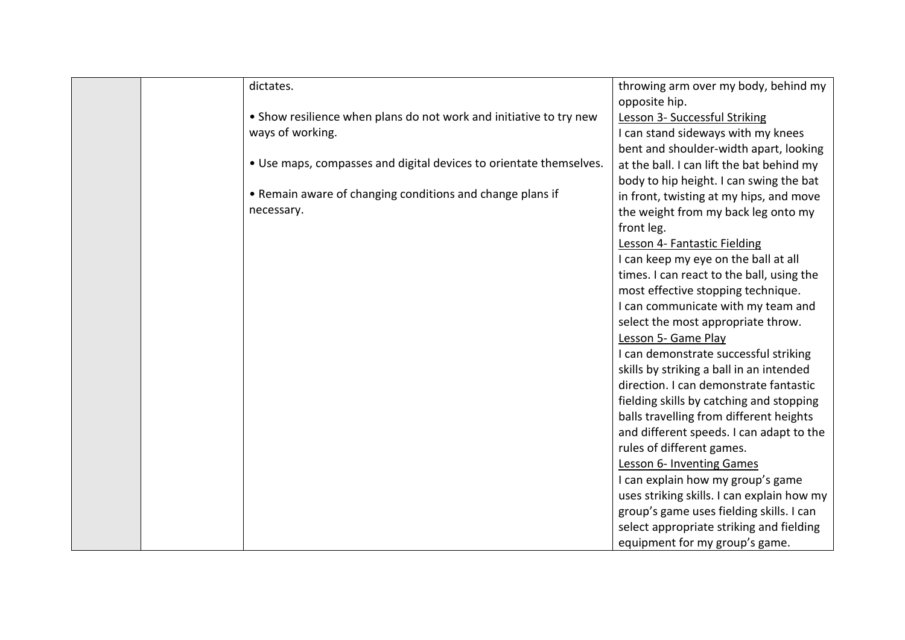| dictates.                                                          | throwing arm over my body, behind my       |
|--------------------------------------------------------------------|--------------------------------------------|
|                                                                    | opposite hip.                              |
| • Show resilience when plans do not work and initiative to try new | Lesson 3- Successful Striking              |
| ways of working.                                                   | I can stand sideways with my knees         |
|                                                                    | bent and shoulder-width apart, looking     |
| . Use maps, compasses and digital devices to orientate themselves. | at the ball. I can lift the bat behind my  |
|                                                                    | body to hip height. I can swing the bat    |
| • Remain aware of changing conditions and change plans if          | in front, twisting at my hips, and move    |
| necessary.                                                         | the weight from my back leg onto my        |
|                                                                    | front leg.                                 |
|                                                                    | Lesson 4- Fantastic Fielding               |
|                                                                    | I can keep my eye on the ball at all       |
|                                                                    | times. I can react to the ball, using the  |
|                                                                    | most effective stopping technique.         |
|                                                                    | I can communicate with my team and         |
|                                                                    | select the most appropriate throw.         |
|                                                                    | Lesson 5- Game Play                        |
|                                                                    | I can demonstrate successful striking      |
|                                                                    | skills by striking a ball in an intended   |
|                                                                    | direction. I can demonstrate fantastic     |
|                                                                    | fielding skills by catching and stopping   |
|                                                                    | balls travelling from different heights    |
|                                                                    | and different speeds. I can adapt to the   |
|                                                                    | rules of different games.                  |
|                                                                    | Lesson 6- Inventing Games                  |
|                                                                    | I can explain how my group's game          |
|                                                                    | uses striking skills. I can explain how my |
|                                                                    | group's game uses fielding skills. I can   |
|                                                                    | select appropriate striking and fielding   |
|                                                                    | equipment for my group's game.             |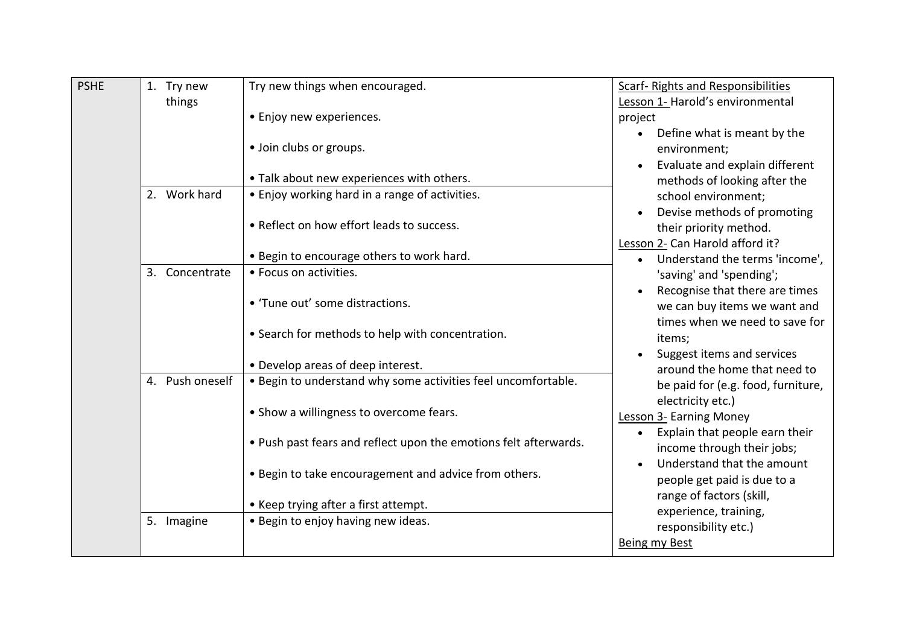| <b>PSHE</b> | 1. Try new      | Try new things when encouraged.                                  | <b>Scarf- Rights and Responsibilities</b>                                                                                                                                                                                                                                                          |
|-------------|-----------------|------------------------------------------------------------------|----------------------------------------------------------------------------------------------------------------------------------------------------------------------------------------------------------------------------------------------------------------------------------------------------|
|             | things          |                                                                  | Lesson 1- Harold's environmental                                                                                                                                                                                                                                                                   |
|             |                 | • Enjoy new experiences.                                         | project                                                                                                                                                                                                                                                                                            |
|             |                 | · Join clubs or groups.                                          | Define what is meant by the<br>environment;                                                                                                                                                                                                                                                        |
|             |                 | . Talk about new experiences with others.                        | Evaluate and explain different<br>methods of looking after the                                                                                                                                                                                                                                     |
|             | 2. Work hard    | • Enjoy working hard in a range of activities.                   | school environment;<br>Devise methods of promoting<br>their priority method.<br>Lesson 2- Can Harold afford it?<br>Understand the terms 'income',                                                                                                                                                  |
|             |                 | • Reflect on how effort leads to success.                        |                                                                                                                                                                                                                                                                                                    |
|             |                 | . Begin to encourage others to work hard.                        |                                                                                                                                                                                                                                                                                                    |
|             | 3. Concentrate  | • Focus on activities.                                           | 'saving' and 'spending';                                                                                                                                                                                                                                                                           |
|             |                 | • 'Tune out' some distractions.                                  | Recognise that there are times<br>we can buy items we want and<br>times when we need to save for                                                                                                                                                                                                   |
|             |                 | • Search for methods to help with concentration.                 | items;                                                                                                                                                                                                                                                                                             |
|             | 4. Push oneself | • Develop areas of deep interest.                                | Suggest items and services<br>around the home that need to                                                                                                                                                                                                                                         |
|             |                 | . Begin to understand why some activities feel uncomfortable.    | be paid for (e.g. food, furniture,                                                                                                                                                                                                                                                                 |
|             |                 | • Show a willingness to overcome fears.                          | electricity etc.)<br><b>Lesson 3- Earning Money</b><br>Explain that people earn their<br>$\bullet$<br>income through their jobs;<br>Understand that the amount<br>people get paid is due to a<br>range of factors (skill,<br>experience, training,<br>responsibility etc.)<br><b>Being my Best</b> |
|             |                 | . Push past fears and reflect upon the emotions felt afterwards. |                                                                                                                                                                                                                                                                                                    |
|             |                 | . Begin to take encouragement and advice from others.            |                                                                                                                                                                                                                                                                                                    |
|             |                 | • Keep trying after a first attempt.                             |                                                                                                                                                                                                                                                                                                    |
|             | 5. Imagine      | • Begin to enjoy having new ideas.                               |                                                                                                                                                                                                                                                                                                    |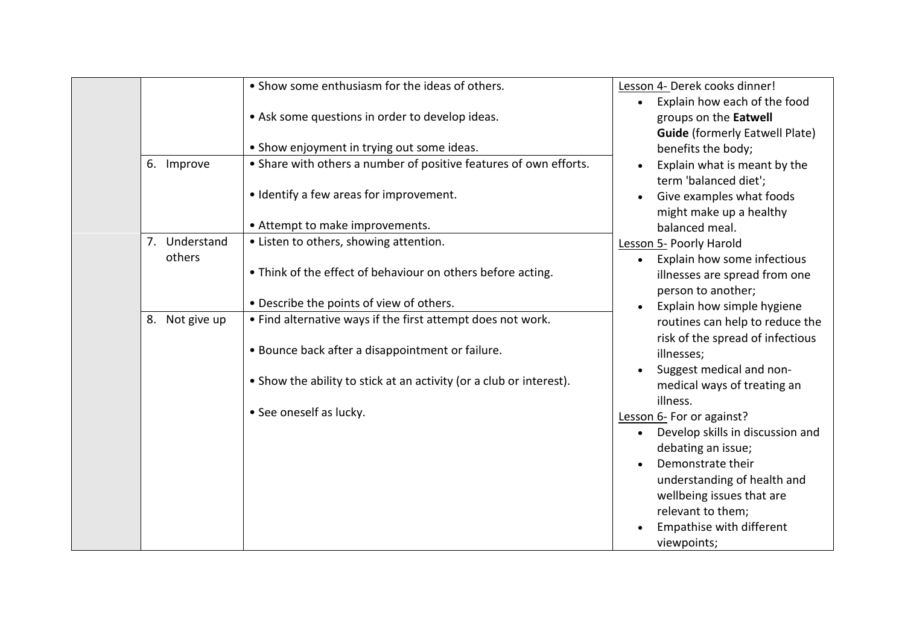|                | • Show some enthusiasm for the ideas of others.                   | Lesson 4- Derek cooks dinner!                                                                                                                                                                                                                                                                    |
|----------------|-------------------------------------------------------------------|--------------------------------------------------------------------------------------------------------------------------------------------------------------------------------------------------------------------------------------------------------------------------------------------------|
|                |                                                                   | Explain how each of the food                                                                                                                                                                                                                                                                     |
|                | • Ask some questions in order to develop ideas.                   | groups on the Eatwell                                                                                                                                                                                                                                                                            |
|                |                                                                   | <b>Guide</b> (formerly Eatwell Plate)                                                                                                                                                                                                                                                            |
|                | • Show enjoyment in trying out some ideas.                        | benefits the body;                                                                                                                                                                                                                                                                               |
| 6. Improve     | • Share with others a number of positive features of own efforts. | Explain what is meant by the<br>term 'balanced diet';                                                                                                                                                                                                                                            |
|                | • Identify a few areas for improvement.                           | Give examples what foods<br>might make up a healthy                                                                                                                                                                                                                                              |
|                |                                                                   | balanced meal.                                                                                                                                                                                                                                                                                   |
| 7. Understand  | • Listen to others, showing attention.                            | Lesson 5- Poorly Harold                                                                                                                                                                                                                                                                          |
| others         |                                                                   | Explain how some infectious                                                                                                                                                                                                                                                                      |
|                | . Think of the effect of behaviour on others before acting.       | illnesses are spread from one                                                                                                                                                                                                                                                                    |
|                |                                                                   | person to another;                                                                                                                                                                                                                                                                               |
|                |                                                                   | Explain how simple hygiene                                                                                                                                                                                                                                                                       |
| 8. Not give up |                                                                   | routines can help to reduce the                                                                                                                                                                                                                                                                  |
|                |                                                                   | risk of the spread of infectious                                                                                                                                                                                                                                                                 |
|                |                                                                   | illnesses;                                                                                                                                                                                                                                                                                       |
|                |                                                                   | Suggest medical and non-                                                                                                                                                                                                                                                                         |
|                |                                                                   | medical ways of treating an                                                                                                                                                                                                                                                                      |
|                |                                                                   | illness.                                                                                                                                                                                                                                                                                         |
|                |                                                                   | Lesson 6- For or against?                                                                                                                                                                                                                                                                        |
|                |                                                                   | Develop skills in discussion and                                                                                                                                                                                                                                                                 |
|                |                                                                   | debating an issue;                                                                                                                                                                                                                                                                               |
|                |                                                                   | Demonstrate their                                                                                                                                                                                                                                                                                |
|                |                                                                   | understanding of health and                                                                                                                                                                                                                                                                      |
|                |                                                                   | wellbeing issues that are<br>relevant to them;                                                                                                                                                                                                                                                   |
|                |                                                                   | Empathise with different                                                                                                                                                                                                                                                                         |
|                |                                                                   | viewpoints;                                                                                                                                                                                                                                                                                      |
|                |                                                                   | • Attempt to make improvements.<br>• Describe the points of view of others.<br>• Find alternative ways if the first attempt does not work.<br>. Bounce back after a disappointment or failure.<br>• Show the ability to stick at an activity (or a club or interest).<br>• See oneself as lucky. |